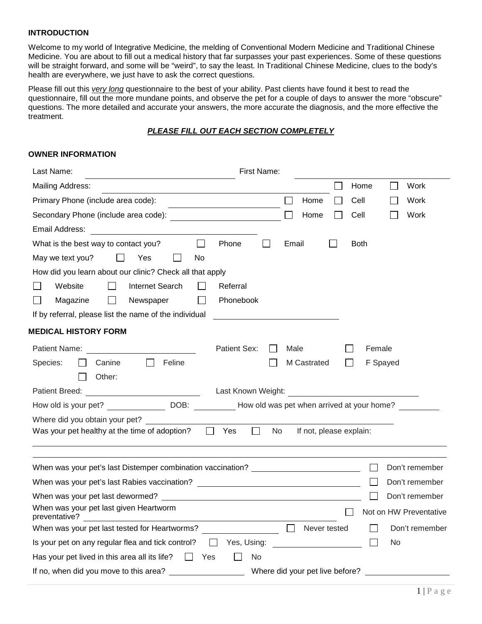### **INTRODUCTION**

Welcome to my world of Integrative Medicine, the melding of Conventional Modern Medicine and Traditional Chinese Medicine. You are about to fill out a medical history that far surpasses your past experiences. Some of these questions will be straight forward, and some will be "weird", to say the least. In Traditional Chinese Medicine, clues to the body's health are everywhere, we just have to ask the correct questions.

Please fill out this *very long* questionnaire to the best of your ability. Past clients have found it best to read the questionnaire, fill out the more mundane points, and observe the pet for a couple of days to answer the more "obscure" questions. The more detailed and accurate your answers, the more accurate the diagnosis, and the more effective the treatment.

### *PLEASE FILL OUT EACH SECTION COMPLETELY*

### **OWNER INFORMATION**

| First Name:<br>Last Name:                                                                                                                                                                                                                     |        |                                 |             |          |                        |
|-----------------------------------------------------------------------------------------------------------------------------------------------------------------------------------------------------------------------------------------------|--------|---------------------------------|-------------|----------|------------------------|
| Mailing Address:                                                                                                                                                                                                                              |        |                                 | Home        |          | Work                   |
| Primary Phone (include area code):                                                                                                                                                                                                            | $\Box$ | Home                            | Cell        |          | Work                   |
|                                                                                                                                                                                                                                               |        | Home                            | Cell        |          | Work                   |
| Email Address: <u>Andreas Address and American Address and Address and Address and Address and Address and Address and Address and Address and Address and Address and Address and Address and Address and Address and Address a</u>          |        |                                 |             |          |                        |
| $\Box$<br>Phone<br>$\perp$<br>What is the best way to contact you?                                                                                                                                                                            | Email  |                                 | <b>Both</b> |          |                        |
| May we text you?<br>Yes<br>$\mathbf{1}$<br>No                                                                                                                                                                                                 |        |                                 |             |          |                        |
| How did you learn about our clinic? Check all that apply                                                                                                                                                                                      |        |                                 |             |          |                        |
| Website<br>Internet Search<br>Referral                                                                                                                                                                                                        |        |                                 |             |          |                        |
| $\blacksquare$<br>Magazine<br>$\mathbf{I}$<br>Newspaper<br><b>Phonebook</b><br>$\mathsf{L}$                                                                                                                                                   |        |                                 |             |          |                        |
| If by referral, please list the name of the individual                                                                                                                                                                                        |        |                                 |             |          |                        |
| <b>MEDICAL HISTORY FORM</b>                                                                                                                                                                                                                   |        |                                 |             |          |                        |
| Patient Sex:<br>Patient Name: The Contract of the Contract of the Contract of the Contract of the Contract of the Contract of the Contract of the Contract of the Contract of the Contract of the Contract of the Contract of the Contract of | Male   |                                 | Female      |          |                        |
| Feline<br>Species:<br>Canine                                                                                                                                                                                                                  |        | M Castrated                     |             | F Spayed |                        |
| Other:                                                                                                                                                                                                                                        |        |                                 |             |          |                        |
|                                                                                                                                                                                                                                               |        |                                 |             |          |                        |
| How old is your pet? DOB: DOB: How old was pet when arrived at your home?                                                                                                                                                                     |        |                                 |             |          |                        |
| Where did you obtain your pet?                                                                                                                                                                                                                |        |                                 |             |          |                        |
| Was your pet healthy at the time of adoption?<br>Yes<br>$\perp$<br>$\perp$                                                                                                                                                                    | No.    | If not, please explain:         |             |          |                        |
|                                                                                                                                                                                                                                               |        |                                 |             |          |                        |
|                                                                                                                                                                                                                                               |        |                                 |             |          |                        |
| When was your pet's last Distemper combination vaccination? ____________________                                                                                                                                                              |        |                                 |             |          | Don't remember         |
| When was your pet's last Rabies vaccination? ___________________________________                                                                                                                                                              |        |                                 |             |          | Don't remember         |
|                                                                                                                                                                                                                                               |        |                                 |             |          | Don't remember         |
| When was your pet last given Heartworm                                                                                                                                                                                                        |        |                                 |             |          | Not on HW Preventative |
| When was your pet last tested for Heartworms?                                                                                                                                                                                                 | $\Box$ | Never tested                    |             |          | Don't remember         |
| Is your pet on any regular flea and tick control? $\Box$ Yes, Using:                                                                                                                                                                          |        |                                 |             | No       |                        |
| Has your pet lived in this area all its life? $\Box$ Yes<br>No.                                                                                                                                                                               |        |                                 |             |          |                        |
| If no, when did you move to this area?                                                                                                                                                                                                        |        | Where did your pet live before? |             |          |                        |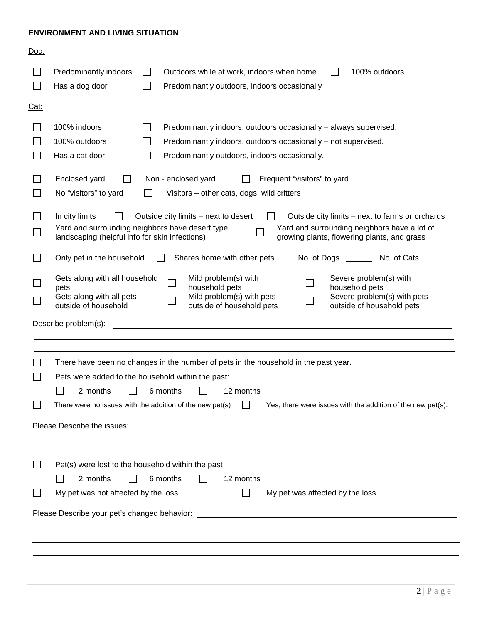## **ENVIRONMENT AND LIVING SITUATION**

| Dog:         |                                                                                                                                                                                                                                                                                                                 |
|--------------|-----------------------------------------------------------------------------------------------------------------------------------------------------------------------------------------------------------------------------------------------------------------------------------------------------------------|
|              | Predominantly indoors<br>Outdoors while at work, indoors when home<br>100% outdoors<br>Has a dog door<br>Predominantly outdoors, indoors occasionally                                                                                                                                                           |
| <u> Cat:</u> |                                                                                                                                                                                                                                                                                                                 |
|              | 100% indoors<br>Predominantly indoors, outdoors occasionally - always supervised.<br>100% outdoors<br>Predominantly indoors, outdoors occasionally - not supervised.<br>Predominantly outdoors, indoors occasionally.<br>Has a cat door                                                                         |
|              | Enclosed yard.<br>Non - enclosed yard.<br>Frequent "visitors" to yard<br>No "visitors" to yard<br>Visitors – other cats, dogs, wild critters                                                                                                                                                                    |
|              | In city limits<br>Outside city limits – next to desert<br>Outside city limits – next to farms or orchards<br>Yard and surrounding neighbors have desert type<br>Yard and surrounding neighbors have a lot of<br>growing plants, flowering plants, and grass<br>landscaping (helpful info for skin infections)   |
|              | Only pet in the household<br>Shares home with other pets<br>No. of Dogs _________ No. of Cats                                                                                                                                                                                                                   |
|              | Gets along with all household<br>Mild problem(s) with<br>Severe problem(s) with<br>household pets<br>household pets<br>pets<br>Mild problem(s) with pets<br>Severe problem(s) with pets<br>Gets along with all pets<br>outside of household<br>outside of household pets<br>outside of household pets           |
|              | <u> 1980 - Johann Barbara, martxa alemaniar amerikan a</u><br>Describe problem(s):                                                                                                                                                                                                                              |
|              | There have been no changes in the number of pets in the household in the past year.<br>Pets were added to the household within the past:<br>2 months<br>6 months<br>12 months<br>There were no issues with the addition of the new pet(s) $\Box$<br>Yes, there were issues with the addition of the new pet(s). |
|              |                                                                                                                                                                                                                                                                                                                 |
|              | Pet(s) were lost to the household within the past<br>2 months<br>6 months<br>12 months                                                                                                                                                                                                                          |
|              | My pet was not affected by the loss.<br>My pet was affected by the loss.                                                                                                                                                                                                                                        |
|              |                                                                                                                                                                                                                                                                                                                 |
|              |                                                                                                                                                                                                                                                                                                                 |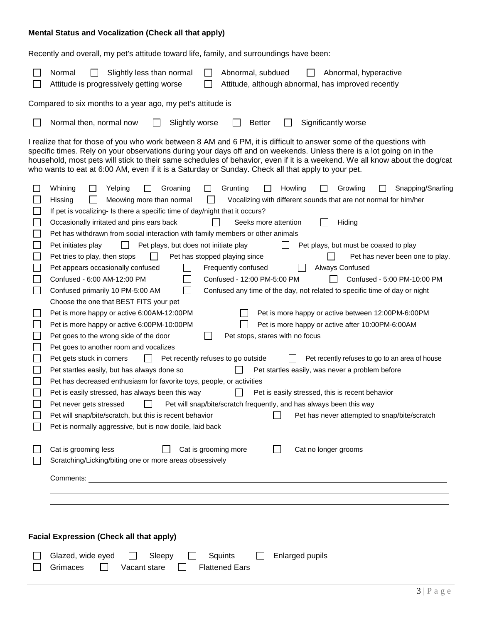# **Mental Status and Vocalization (Check all that apply)**

Recently and overall, my pet's attitude toward life, family, and surroundings have been:

|    | Normal<br>Slightly less than normal<br>Abnormal, subdued<br>Abnormal, hyperactive<br>Attitude is progressively getting worse<br>Attitude, although abnormal, has improved recently                                                                                                                                                                                                                                                                                                                                                                                                                                                                                                                                                                                                                                                                                                                                                                                                                                                                                                                                                                                                                                                                                                                                                                                                                                                                                                                                                                                                                                                                                                                                                                                                                                                                                                                                                                                                                                                             |
|----|------------------------------------------------------------------------------------------------------------------------------------------------------------------------------------------------------------------------------------------------------------------------------------------------------------------------------------------------------------------------------------------------------------------------------------------------------------------------------------------------------------------------------------------------------------------------------------------------------------------------------------------------------------------------------------------------------------------------------------------------------------------------------------------------------------------------------------------------------------------------------------------------------------------------------------------------------------------------------------------------------------------------------------------------------------------------------------------------------------------------------------------------------------------------------------------------------------------------------------------------------------------------------------------------------------------------------------------------------------------------------------------------------------------------------------------------------------------------------------------------------------------------------------------------------------------------------------------------------------------------------------------------------------------------------------------------------------------------------------------------------------------------------------------------------------------------------------------------------------------------------------------------------------------------------------------------------------------------------------------------------------------------------------------------|
|    | Compared to six months to a year ago, my pet's attitude is                                                                                                                                                                                                                                                                                                                                                                                                                                                                                                                                                                                                                                                                                                                                                                                                                                                                                                                                                                                                                                                                                                                                                                                                                                                                                                                                                                                                                                                                                                                                                                                                                                                                                                                                                                                                                                                                                                                                                                                     |
|    | Normal then, normal now<br>Slightly worse<br><b>Better</b><br>Significantly worse                                                                                                                                                                                                                                                                                                                                                                                                                                                                                                                                                                                                                                                                                                                                                                                                                                                                                                                                                                                                                                                                                                                                                                                                                                                                                                                                                                                                                                                                                                                                                                                                                                                                                                                                                                                                                                                                                                                                                              |
|    | I realize that for those of you who work between 8 AM and 6 PM, it is difficult to answer some of the questions with<br>specific times. Rely on your observations during your days off and on weekends. Unless there is a lot going on in the<br>household, most pets will stick to their same schedules of behavior, even if it is a weekend. We all know about the dog/cat<br>who wants to eat at 6:00 AM, even if it is a Saturday or Sunday. Check all that apply to your pet.                                                                                                                                                                                                                                                                                                                                                                                                                                                                                                                                                                                                                                                                                                                                                                                                                                                                                                                                                                                                                                                                                                                                                                                                                                                                                                                                                                                                                                                                                                                                                             |
| L. | Whining<br>Grunting<br>Howling<br>Growling<br>Snapping/Snarling<br>Yelping<br>$\perp$<br>Groaning<br>Vocalizing with different sounds that are not normal for him/her<br>Hissing<br>Meowing more than normal<br>If pet is vocalizing- Is there a specific time of day/night that it occurs?<br>Occasionally irritated and pins ears back<br>Seeks more attention<br>Hiding<br>Pet has withdrawn from social interaction with family members or other animals<br>Pet plays, but does not initiate play<br>Pet plays, but must be coaxed to play<br>Pet initiates play<br>Pet tries to play, then stops<br>Pet has stopped playing since<br>Pet has never been one to play.<br>Pet appears occasionally confused<br>Frequently confused<br>Always Confused<br>Confused - 6:00 AM-12:00 PM<br>Confused - 12:00 PM-5:00 PM<br>Confused - 5:00 PM-10:00 PM<br>$\mathbf{L}$<br>Confused primarily 10 PM-5:00 AM<br>Confused any time of the day, not related to specific time of day or night<br>Choose the one that BEST FITS your pet<br>Pet is more happy or active 6:00AM-12:00PM<br>Pet is more happy or active between 12:00PM-6:00PM<br>Pet is more happy or active after 10:00PM-6:00AM<br>Pet is more happy or active 6:00PM-10:00PM<br>Pet stops, stares with no focus<br>Pet goes to the wrong side of the door<br>Pet goes to another room and vocalizes<br>Pet gets stuck in corners<br>Pet recently refuses to go outside<br>Pet recently refuses to go to an area of house<br>Pet startles easily, but has always done so<br>Pet startles easily, was never a problem before<br>Pet has decreased enthusiasm for favorite toys, people, or activities<br>Pet is easily stressed, has always been this way<br>Pet is easily stressed, this is recent behavior<br>Pet will snap/bite/scratch frequently, and has always been this way<br>Pet never gets stressed<br>Pet will snap/bite/scratch, but this is recent behavior<br>Pet has never attempted to snap/bite/scratch<br>Pet is normally aggressive, but is now docile, laid back |
|    | Cat is grooming less<br>Cat is grooming more<br>Cat no longer grooms<br>Scratching/Licking/biting one or more areas obsessively                                                                                                                                                                                                                                                                                                                                                                                                                                                                                                                                                                                                                                                                                                                                                                                                                                                                                                                                                                                                                                                                                                                                                                                                                                                                                                                                                                                                                                                                                                                                                                                                                                                                                                                                                                                                                                                                                                                |
|    |                                                                                                                                                                                                                                                                                                                                                                                                                                                                                                                                                                                                                                                                                                                                                                                                                                                                                                                                                                                                                                                                                                                                                                                                                                                                                                                                                                                                                                                                                                                                                                                                                                                                                                                                                                                                                                                                                                                                                                                                                                                |
|    |                                                                                                                                                                                                                                                                                                                                                                                                                                                                                                                                                                                                                                                                                                                                                                                                                                                                                                                                                                                                                                                                                                                                                                                                                                                                                                                                                                                                                                                                                                                                                                                                                                                                                                                                                                                                                                                                                                                                                                                                                                                |
|    |                                                                                                                                                                                                                                                                                                                                                                                                                                                                                                                                                                                                                                                                                                                                                                                                                                                                                                                                                                                                                                                                                                                                                                                                                                                                                                                                                                                                                                                                                                                                                                                                                                                                                                                                                                                                                                                                                                                                                                                                                                                |
|    | <b>Facial Expression (Check all that apply)</b>                                                                                                                                                                                                                                                                                                                                                                                                                                                                                                                                                                                                                                                                                                                                                                                                                                                                                                                                                                                                                                                                                                                                                                                                                                                                                                                                                                                                                                                                                                                                                                                                                                                                                                                                                                                                                                                                                                                                                                                                |
|    | Glazed, wide eyed<br><b>Enlarged pupils</b><br>Sleepy<br>Squints<br><b>Flattened Ears</b><br>Grimaces<br>Vacant stare                                                                                                                                                                                                                                                                                                                                                                                                                                                                                                                                                                                                                                                                                                                                                                                                                                                                                                                                                                                                                                                                                                                                                                                                                                                                                                                                                                                                                                                                                                                                                                                                                                                                                                                                                                                                                                                                                                                          |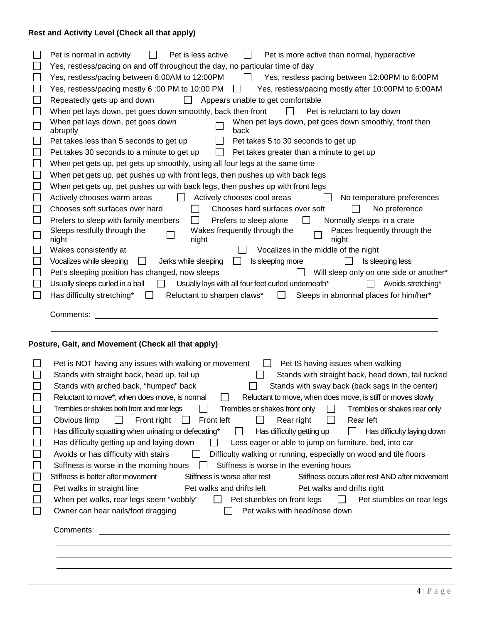# **Rest and Activity Level (Check all that apply)**

| Pet is normal in activity<br>Pet is less active<br>Pet is more active than normal, hyperactive<br>$\perp$               |
|-------------------------------------------------------------------------------------------------------------------------|
| Yes, restless/pacing on and off throughout the day, no particular time of day                                           |
| Yes, restless/pacing between 6:00AM to 12:00PM<br>$\Box$<br>Yes, restless pacing between 12:00PM to 6:00PM              |
| Yes, restless/pacing mostly 6:00 PM to 10:00 PM<br>Yes, restless/pacing mostly after 10:00PM to 6:00AM                  |
| Appears unable to get comfortable<br>Repeatedly gets up and down<br>$\perp$                                             |
| When pet lays down, pet goes down smoothly, back then front<br>Pet is reluctant to lay down<br>$\perp$                  |
| When pet lays down, pet goes down<br>When pet lays down, pet goes down smoothly, front then<br>back<br>abruptly         |
| Pet takes less than 5 seconds to get up<br>Pet takes 5 to 30 seconds to get up                                          |
| Pet takes 30 seconds to a minute to get up<br>Pet takes greater than a minute to get up<br>$\mathbf{I}$                 |
| When pet gets up, pet gets up smoothly, using all four legs at the same time                                            |
| When pet gets up, pet pushes up with front legs, then pushes up with back legs                                          |
| When pet gets up, pet pushes up with back legs, then pushes up with front legs                                          |
| Actively chooses cool areas<br>Actively chooses warm areas<br>No temperature preferences                                |
| No preference<br>Chooses soft surfaces over hard<br>Chooses hard surfaces over soft<br>$\Box$<br>$\mathsf{L}$           |
| Normally sleeps in a crate<br>Prefers to sleep with family members<br>Prefers to sleep alone<br>$\Box$                  |
| Wakes frequently through the<br>Sleeps restfully through the<br>Paces frequently through the<br>night<br>night<br>night |
| Vocalizes in the middle of the night<br>Wakes consistently at                                                           |
| Vocalizes while sleeping<br>Is sleeping more<br>Jerks while sleeping<br>Is sleeping less                                |
| Pet's sleeping position has changed, now sleeps<br>Will sleep only on one side or another*                              |
| Usually sleeps curled in a ball<br>Usually lays with all four feet curled underneath*<br>Avoids stretching*             |
| Has difficulty stretching*<br>Reluctant to sharpen claws*<br>Sleeps in abnormal places for him/her*<br>$\perp$          |
| Comments:                                                                                                               |
| Posture, Gait, and Movement (Check all that apply)                                                                      |

|        | Pet is NOT having any issues with walking or movement<br>Pet IS having issues when walking                            |
|--------|-----------------------------------------------------------------------------------------------------------------------|
|        | Stands with straight back, head up, tail up<br>Stands with straight back, head down, tail tucked                      |
| $\Box$ | Stands with arched back, "humped" back<br>Stands with sway back (back sags in the center)                             |
| $\Box$ | Reluctant to move, when does move, is stiff or moves slowly<br>Reluctant to move*, when does move, is normal          |
| $\Box$ | Trembles or shakes both front and rear legs<br>Trembles or shakes front only<br>Trembles or shakes rear only          |
| $\Box$ | Front right<br>Obvious limp<br>Front left<br>Rear right<br>Rear left<br>$\perp$<br>$\mathsf{L}$                       |
| $\Box$ | Has difficulty squatting when urinating or defecating*<br>Has difficulty getting up<br>Has difficulty laying down     |
| $\Box$ | Has difficulty getting up and laying down<br>Less eager or able to jump on furniture, bed, into car<br>$\mathsf{I}$   |
| $\Box$ | Difficulty walking or running, especially on wood and tile floors<br>Avoids or has difficulty with stairs             |
| $\Box$ | Stiffness is worse in the morning hours<br>Stiffness is worse in the evening hours                                    |
|        | Stiffness is better after movement<br>Stiffness is worse after rest<br>Stiffness occurs after rest AND after movement |
| $\Box$ | Pet walks and drifts left<br>Pet walks in straight line<br>Pet walks and drifts right                                 |
| $\Box$ | When pet walks, rear legs seem "wobbly"<br>Pet stumbles on front legs<br>Pet stumbles on rear legs<br>$\mathbf{I}$    |
| П      | Pet walks with head/nose down<br>Owner can hear nails/foot dragging                                                   |
|        |                                                                                                                       |
|        | Comments:                                                                                                             |
|        |                                                                                                                       |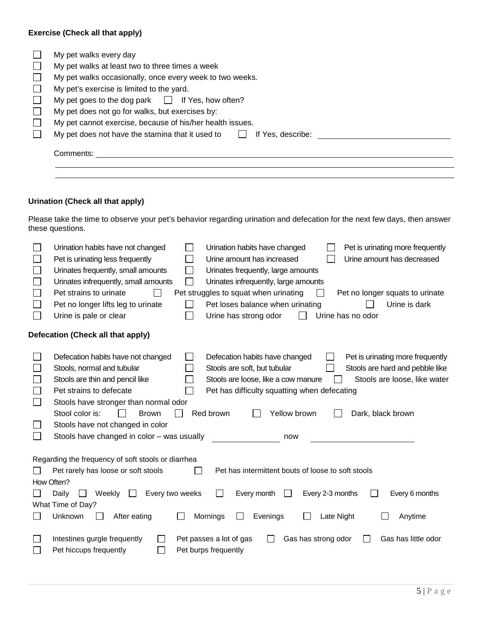# **Exercise (Check all that apply)**

|              | My pet walks every day                                                |
|--------------|-----------------------------------------------------------------------|
|              | My pet walks at least two to three times a week                       |
| $\mathbf{L}$ | My pet walks occasionally, once every week to two weeks.              |
| $\Box$       | My pet's exercise is limited to the yard.                             |
| $\mathbf{I}$ | My pet goes to the dog park $\Box$ If Yes, how often?                 |
| $\perp$      | My pet does not go for walks, but exercises by:                       |
|              | My pet cannot exercise, because of his/her health issues.             |
|              | My pet does not have the stamina that it used to<br>If Yes. describe: |
|              | Comments:                                                             |

# **Urination (Check all that apply)**

Please take the time to observe your pet's behavior regarding urination and defecation for the next few days, then answer these questions.

|              | Urination habits have not changed                                   | Urination habits have changed<br>Pet is urinating more frequently        |
|--------------|---------------------------------------------------------------------|--------------------------------------------------------------------------|
|              | Pet is urinating less frequently                                    | Urine amount has decreased<br>Urine amount has increased                 |
| $\Box$       | Urinates frequently, small amounts                                  | Urinates frequently, large amounts                                       |
|              | $\mathcal{L}_{\mathcal{A}}$<br>Urinates infrequently, small amounts | Urinates infrequently, large amounts                                     |
|              | Pet strains to urinate                                              | Pet struggles to squat when urinating<br>Pet no longer squats to urinate |
|              | Pet no longer lifts leg to urinate                                  | Pet loses balance when urinating<br>Urine is dark                        |
|              | Urine is pale or clear                                              | Urine has strong odor<br>Urine has no odor                               |
|              | Defecation (Check all that apply)                                   |                                                                          |
|              | Defecation habits have not changed                                  | Defecation habits have changed<br>Pet is urinating more frequently       |
|              | Stools, normal and tubular                                          | Stools are soft, but tubular<br>Stools are hard and pebble like          |
|              | Stools are thin and pencil like                                     | Stools are loose, like a cow manure<br>Stools are loose, like water      |
|              | Pet strains to defecate                                             | Pet has difficulty squatting when defecating                             |
| $\mathbf{L}$ | Stools have stronger than normal odor                               |                                                                          |
|              | Stool color is:<br>Red brown<br><b>Brown</b>                        | Yellow brown<br>Dark, black brown                                        |
|              | Stools have not changed in color                                    |                                                                          |
|              | Stools have changed in color - was usually                          | now                                                                      |
|              |                                                                     |                                                                          |
|              | Regarding the frequency of soft stools or diarrhea                  |                                                                          |
|              | Pet rarely has loose or soft stools                                 | Pet has intermittent bouts of loose to soft stools                       |
|              | How Often?                                                          |                                                                          |
|              | Every two weeks<br>Daily<br>Weekly<br>$\mathbf{I}$                  | Every month<br>Every 2-3 months<br>Every 6 months                        |
|              | What Time of Day?                                                   |                                                                          |
|              | Unknown<br>After eating<br>Mornings                                 | Evenings<br>Late Night<br>Anytime                                        |
|              |                                                                     |                                                                          |
|              | Intestines gurgle frequently<br>Pet passes a lot of gas             | Gas has strong odor<br>Gas has little odor                               |
|              | Pet hiccups frequently<br>Pet burps frequently                      |                                                                          |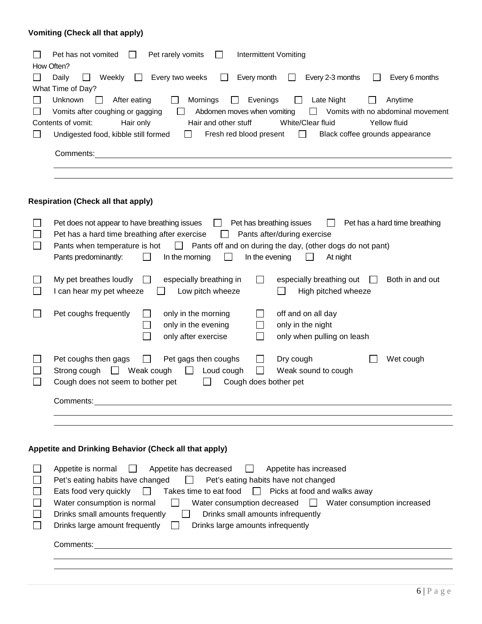# **Vomiting (Check all that apply)**

| Pet has not vomited<br>Pet rarely vomits<br>Intermittent Vomiting                                                          |
|----------------------------------------------------------------------------------------------------------------------------|
| How Often?                                                                                                                 |
| Every two weeks<br>Every 2-3 months<br>Every 6 months<br>Daily<br>Every month<br>Weekly                                    |
| What Time of Day?                                                                                                          |
| Evenings<br>Unknown<br>Mornings<br>Late Night<br>After eating<br>Anytime<br>$\blacksquare$<br>$\mathbf{L}$                 |
| Vomits with no abdominal movement<br>Vomits after coughing or gagging<br>Abdomen moves when vomiting<br>$\perp$            |
| Hair only<br>White/Clear fluid<br>Contents of vomit:<br>Hair and other stuff<br>Yellow fluid                               |
| Undigested food, kibble still formed<br>Fresh red blood present<br>Black coffee grounds appearance<br>$1 \perp$<br>$\perp$ |
|                                                                                                                            |
| Comments:                                                                                                                  |
|                                                                                                                            |
|                                                                                                                            |

# **Respiration (Check all that apply)**

| Pet has a hard time breathing<br>Pet does not appear to have breathing issues<br>Pet has breathing issues<br>$\mathbf{I}$<br>Pet has a hard time breathing after exercise<br>Pants after/during exercise<br>Pants when temperature is hot $\Box$ Pants off and on during the day, (other dogs do not pant)<br>Pants predominantly:<br>In the morning<br>In the evening<br>$\perp$<br>At night                                                                                                                                                    |
|--------------------------------------------------------------------------------------------------------------------------------------------------------------------------------------------------------------------------------------------------------------------------------------------------------------------------------------------------------------------------------------------------------------------------------------------------------------------------------------------------------------------------------------------------|
| My pet breathes loudly<br>Both in and out<br>especially breathing in<br>especially breathing out<br>I can hear my pet wheeze<br>Low pitch wheeze<br>High pitched wheeze                                                                                                                                                                                                                                                                                                                                                                          |
| Pet coughs frequently<br>off and on all day<br>only in the morning<br>only in the night<br>only in the evening<br>only after exercise<br>only when pulling on leash                                                                                                                                                                                                                                                                                                                                                                              |
| Pet coughs then gags<br>Dry cough<br>Pet gags then coughs<br>Wet cough<br>$\perp$<br>Strong cough $\Box$ Weak cough<br>Loud cough<br>Weak sound to cough<br>$\perp$<br>Cough does not seem to bother pet<br>Cough does bother pet<br>$\perp$                                                                                                                                                                                                                                                                                                     |
|                                                                                                                                                                                                                                                                                                                                                                                                                                                                                                                                                  |
|                                                                                                                                                                                                                                                                                                                                                                                                                                                                                                                                                  |
| Appetite and Drinking Behavior (Check all that apply)                                                                                                                                                                                                                                                                                                                                                                                                                                                                                            |
| Appetite has decreased<br>Appetite is normal<br>Appetite has increased<br>$\blacksquare$<br>Pet's eating habits have changed<br>Pet's eating habits have not changed<br>$\Box$<br>Eats food very quickly $\Box$<br>Takes time to eat food $\Box$ Picks at food and walks away<br>Water consumption is normal<br>Water consumption decreased<br><u>Nater</u> consumption increased<br>$\mathbf{1}$<br>Drinks small amounts frequently<br>Drinks small amounts infrequently<br>Drinks large amount frequently<br>Drinks large amounts infrequently |

Comments: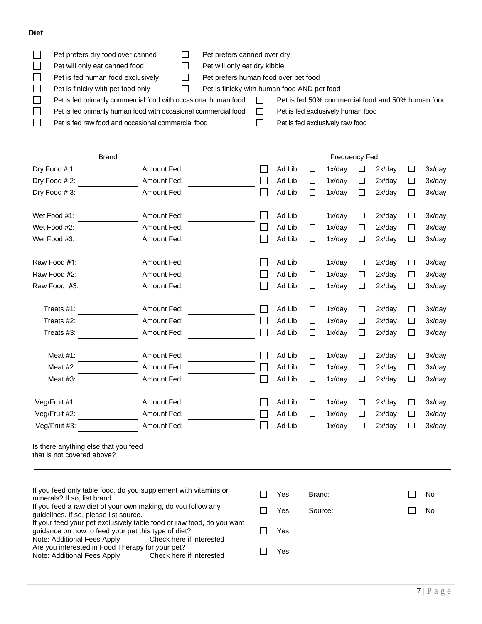## **Diet**

| Pet prefers dry food over canned                                | Pet prefers canned over dry          |                                                   |
|-----------------------------------------------------------------|--------------------------------------|---------------------------------------------------|
| Pet will only eat canned food                                   | Pet will only eat dry kibble         |                                                   |
| Pet is fed human food exclusively                               | Pet prefers human food over pet food |                                                   |
| Pet is finicky with pet food only                               |                                      | Pet is finicky with human food AND pet food       |
| Pet is fed primarily commercial food with occasional human food |                                      | Pet is fed 50% commercial food and 50% human food |
| Pet is fed primarily human food with occasional commercial food |                                      | Pet is fed exclusively human food                 |
| Pet is fed raw food and occasional commercial food              |                                      | Pet is fed exclusively raw food                   |

| <b>Brand</b>                                                                                                                                                                            |                                                                 |              | <b>Frequency Fed</b> |        |         |        |        |        |           |  |  |
|-----------------------------------------------------------------------------------------------------------------------------------------------------------------------------------------|-----------------------------------------------------------------|--------------|----------------------|--------|---------|--------|--------|--------|-----------|--|--|
| Dry Food #1:                                                                                                                                                                            | Amount Fed:                                                     |              | Ad Lib               | □      | 1x/day  | □      | 2x/day | □      | 3x/day    |  |  |
| Dry Food #2:                                                                                                                                                                            | Amount Fed:                                                     |              | Ad Lib               | □      | 1x/day  | $\Box$ | 2x/day | $\Box$ | 3x/day    |  |  |
| Dry Food #3:                                                                                                                                                                            | Amount Fed:                                                     |              | Ad Lib               | $\Box$ | 1x/day  | $\Box$ | 2x/day | □      | 3x/day    |  |  |
| Wet Food #1:                                                                                                                                                                            | Amount Fed:                                                     |              | Ad Lib               | □      | 1x/day  | $\Box$ | 2x/day | □      | 3x/day    |  |  |
| Wet Food #2:                                                                                                                                                                            | Amount Fed:                                                     |              | Ad Lib               | $\Box$ | 1x/day  | $\Box$ | 2x/day | □      | 3x/day    |  |  |
| Wet Food #3:                                                                                                                                                                            | Amount Fed:                                                     |              | Ad Lib               | □      | 1x/day  | □      | 2x/day | □      | 3x/day    |  |  |
| Raw Food #1:                                                                                                                                                                            | Amount Fed:                                                     |              | Ad Lib               | □      | 1x/day  | $\Box$ | 2x/day | □      | 3x/day    |  |  |
| Raw Food #2:                                                                                                                                                                            | Amount Fed:                                                     |              | Ad Lib               | $\Box$ | 1x/day  | $\Box$ | 2x/day | □      | 3x/day    |  |  |
| Raw Food #3:                                                                                                                                                                            | Amount Fed:                                                     |              | Ad Lib               | $\Box$ | 1x/dav  | $\Box$ | 2x/day | $\Box$ | 3x/day    |  |  |
| Treats #1:                                                                                                                                                                              | Amount Fed:                                                     |              | Ad Lib               | $\Box$ | 1x/day  | □      | 2x/day | □      | 3x/day    |  |  |
| Treats #2:                                                                                                                                                                              | Amount Fed:                                                     |              | Ad Lib               | □      | 1x/day  | □      | 2x/day | □      | 3x/day    |  |  |
| Treats #3:                                                                                                                                                                              | Amount Fed:                                                     |              | Ad Lib               | $\Box$ | 1x/day  | □      | 2x/day | □      | 3x/day    |  |  |
| Meat $#1$ :                                                                                                                                                                             | Amount Fed:                                                     |              | Ad Lib               | □      | 1x/day  | $\Box$ | 2x/day | □      | 3x/day    |  |  |
| Meat $#2$ :                                                                                                                                                                             | Amount Fed:                                                     |              | Ad Lib               | $\Box$ | 1x/day  | □      | 2x/day | □      | 3x/day    |  |  |
| Meat $#3$ :                                                                                                                                                                             | Amount Fed:                                                     |              | Ad Lib               | $\Box$ | 1x/day  | $\Box$ | 2x/day | □      | 3x/day    |  |  |
| Veg/Fruit #1:                                                                                                                                                                           | Amount Fed:                                                     |              | Ad Lib               | □      | 1x/day  | $\Box$ | 2x/day | □      | 3x/day    |  |  |
| Veg/Fruit #2:                                                                                                                                                                           | Amount Fed:                                                     |              | Ad Lib               | □      | 1x/day  | □      | 2x/day | $\Box$ | 3x/day    |  |  |
| Veg/Fruit #3:                                                                                                                                                                           | Amount Fed:                                                     |              | Ad Lib               | $\Box$ | 1x/day  | □      | 2x/day | □      | 3x/day    |  |  |
| Is there anything else that you feed<br>that is not covered above?                                                                                                                      |                                                                 |              |                      |        |         |        |        |        |           |  |  |
| minerals? If so, list brand.                                                                                                                                                            | If you feed only table food, do you supplement with vitamins or | $\mathsf{L}$ | Yes                  | Brand: |         |        |        |        | No        |  |  |
| If you feed a raw diet of your own making, do you follow any<br>guidelines. If so, please list source.                                                                                  |                                                                 | ΙI           | Yes                  |        | Source: |        |        | П      | <b>No</b> |  |  |
| If your feed your pet exclusively table food or raw food, do you want<br>guidance on how to feed your pet this type of diet?<br>Note: Additional Fees Apply<br>Check here if interested |                                                                 |              | Yes                  |        |         |        |        |        |           |  |  |
| Are you interested in Food Therapy for your pet?<br>Note: Additional Fees Apply<br>Check here if interested                                                                             |                                                                 |              | Yes                  |        |         |        |        |        |           |  |  |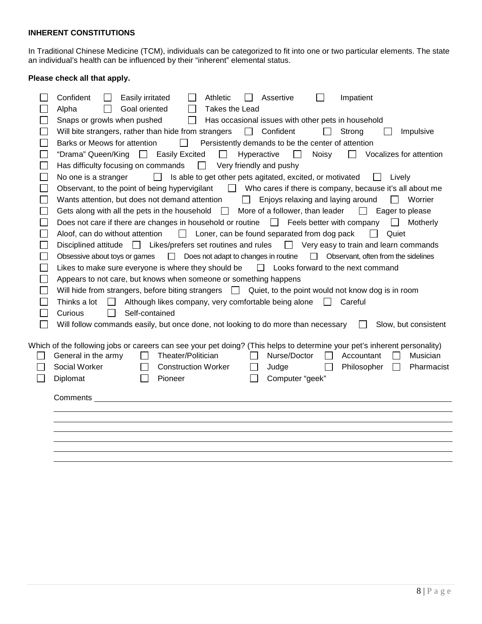## **INHERENT CONSTITUTIONS**

In Traditional Chinese Medicine (TCM), individuals can be categorized to fit into one or two particular elements. The state an individual's health can be influenced by their "inherent" elemental status.

## **Please check all that apply.**

| Confident<br>Impatient<br>Easily irritated<br>Athletic<br>Assertive                                                                                                                                                                                                                                                                                                 |
|---------------------------------------------------------------------------------------------------------------------------------------------------------------------------------------------------------------------------------------------------------------------------------------------------------------------------------------------------------------------|
| Alpha<br>Goal oriented<br>Takes the Lead                                                                                                                                                                                                                                                                                                                            |
| Has occasional issues with other pets in household<br>Snaps or growls when pushed<br>$\mathsf{L}$                                                                                                                                                                                                                                                                   |
| Will bite strangers, rather than hide from strangers<br>$\Box$<br>Confident<br>Strong<br>Impulsive<br>$\blacksquare$                                                                                                                                                                                                                                                |
| Barks or Meows for attention<br>Persistently demands to be the center of attention<br>$\blacksquare$                                                                                                                                                                                                                                                                |
| "Drama" Queen/King   Easily Excited<br>$\Box$ Vocalizes for attention<br>$\Box$<br>Hyperactive<br>Noisy<br>$\mathbf{1}$                                                                                                                                                                                                                                             |
| Has difficulty focusing on commands<br>$\Box$<br>Very friendly and pushy                                                                                                                                                                                                                                                                                            |
| Is able to get other pets agitated, excited, or motivated<br>No one is a stranger<br>$\Box$<br>Lively                                                                                                                                                                                                                                                               |
| Observant, to the point of being hypervigilant<br>U Who cares if there is company, because it's all about me                                                                                                                                                                                                                                                        |
| Wants attention, but does not demand attention $\Box$<br>Enjoys relaxing and laying around<br>$\mathsf{L}$<br>Worrier                                                                                                                                                                                                                                               |
| Gets along with all the pets in the household $\Box$ More of a follower, than leader<br>$\Box$ Eager to please                                                                                                                                                                                                                                                      |
| Does not care if there are changes in household or routine $\Box$ Feels better with company<br>Motherly<br>$\perp$                                                                                                                                                                                                                                                  |
| Aloof, can do without attention<br>Loner, can be found separated from dog pack<br>$\Box$<br>Quiet<br>$\Box$                                                                                                                                                                                                                                                         |
| Disciplined attitude □ Likes/prefers set routines and rules<br>$\Box$ Very easy to train and learn commands                                                                                                                                                                                                                                                         |
| $\Box$ Does not adapt to changes in routine<br>$\Box$ Observant, often from the sidelines<br>Obsessive about toys or games                                                                                                                                                                                                                                          |
| Likes to make sure everyone is where they should be $\square$ Looks forward to the next command                                                                                                                                                                                                                                                                     |
| Appears to not care, but knows when someone or something happens                                                                                                                                                                                                                                                                                                    |
| Will hide from strangers, before biting strangers $\Box$ Quiet, to the point would not know dog is in room                                                                                                                                                                                                                                                          |
| Although likes company, very comfortable being alone<br>Careful<br>Thinks a lot<br>$\perp$<br>$\perp$                                                                                                                                                                                                                                                               |
| Self-contained<br>Curious                                                                                                                                                                                                                                                                                                                                           |
| Will follow commands easily, but once done, not looking to do more than necessary<br>Slow, but consistent                                                                                                                                                                                                                                                           |
| Which of the following jobs or careers can see your pet doing? (This helps to determine your pet's inherent personality)<br>Nurse/Doctor<br>General in the army<br>Theater/Politician<br>Musician<br>Accountant<br>Social Worker<br><b>Construction Worker</b><br>Judge<br>Philosopher<br>Pharmacist<br>$\Box$<br>$\perp$<br>Computer "geek"<br>Diplomat<br>Pioneer |
| Comments                                                                                                                                                                                                                                                                                                                                                            |
|                                                                                                                                                                                                                                                                                                                                                                     |
|                                                                                                                                                                                                                                                                                                                                                                     |
|                                                                                                                                                                                                                                                                                                                                                                     |
|                                                                                                                                                                                                                                                                                                                                                                     |
|                                                                                                                                                                                                                                                                                                                                                                     |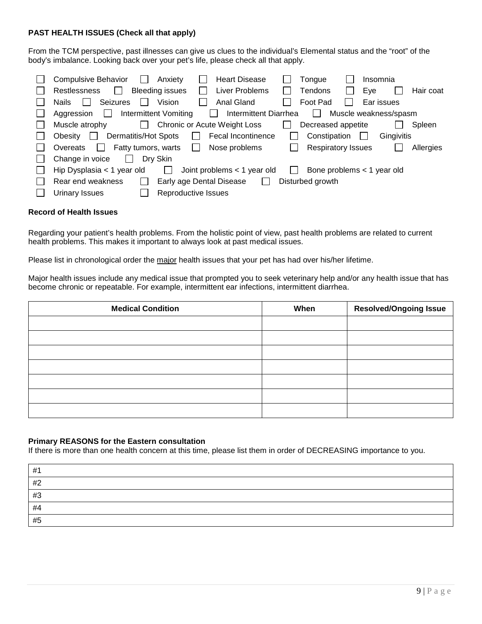## **PAST HEALTH ISSUES (Check all that apply)**

From the TCM perspective, past illnesses can give us clues to the individual's Elemental status and the "root" of the body's imbalance. Looking back over your pet's life, please check all that apply.

| Compulsive Behavior<br><b>Heart Disease</b><br>Anxiety<br>Tongue<br>Insomnia<br>$\mathsf{I}$                                           |           |
|----------------------------------------------------------------------------------------------------------------------------------------|-----------|
| <b>Bleeding issues</b><br>Liver Problems<br>Restlessness<br>Tendons<br>Eye<br>$\mathbf{I}$<br>l I                                      | Hair coat |
| Vision<br><b>Seizures</b><br>Anal Gland<br>Foot Pad<br>Ear issues<br><b>Nails</b>                                                      |           |
| <b>Intermittent Diarrhea</b><br>Muscle weakness/spasm<br>Intermittent Vomiting<br>Aggression<br>$\mathbf{L}$<br>$\mathbf{I}$<br>$\sim$ |           |
| Chronic or Acute Weight Loss<br>Muscle atrophy<br>Decreased appetite<br>Spleen<br>$\mathsf{L}$                                         |           |
| Dermatitis/Hot Spots<br>Fecal Incontinence<br>Constipation<br>Gingivitis<br>Obesity<br>$\mathbf{I}$<br>$\mathsf{L}$                    |           |
| <b>Respiratory Issues</b><br>Nose problems<br>Fatty tumors, warts<br>Overeats<br>$\mathbf{I}$<br>l.                                    | Allergies |
| Change in voice<br>Dry Skin<br>$\mathbf{L}$                                                                                            |           |
| Joint problems $<$ 1 year old<br>Hip Dysplasia $<$ 1 year old<br>Bone problems $<$ 1 year old<br>$\mathbf{L}$                          |           |
| Rear end weakness<br>Early age Dental Disease<br>Disturbed growth<br>$\mathbb{R}^n$                                                    |           |
| Reproductive Issues<br>Urinary Issues                                                                                                  |           |

### **Record of Health Issues**

Regarding your patient's health problems. From the holistic point of view, past health problems are related to current health problems. This makes it important to always look at past medical issues.

Please list in chronological order the major health issues that your pet has had over his/her lifetime.

Major health issues include any medical issue that prompted you to seek veterinary help and/or any health issue that has become chronic or repeatable. For example, intermittent ear infections, intermittent diarrhea.

| <b>Medical Condition</b> | When | <b>Resolved/Ongoing Issue</b> |
|--------------------------|------|-------------------------------|
|                          |      |                               |
|                          |      |                               |
|                          |      |                               |
|                          |      |                               |
|                          |      |                               |
|                          |      |                               |
|                          |      |                               |

### **Primary REASONS for the Eastern consultation**

If there is more than one health concern at this time, please list them in order of DECREASING importance to you.

| #1 |  |
|----|--|
| #2 |  |
| #3 |  |
| #4 |  |
| #5 |  |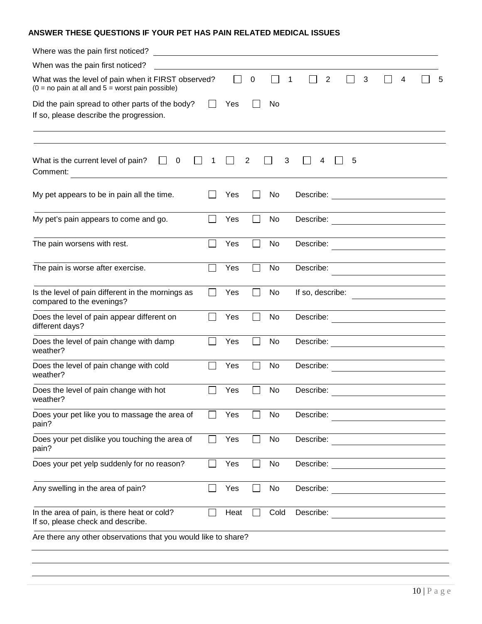## **ANSWER THESE QUESTIONS IF YOUR PET HAS PAIN RELATED MEDICAL ISSUES**

| Where was the pain first noticed?<br><u> Alexandria de la contrada de la contrada de la contrada de la contrada de la contrada de la contrada de la c</u> |        |      |                |      |                                                  |   |   |                                                                                                                                                          |   |                                                                            |
|-----------------------------------------------------------------------------------------------------------------------------------------------------------|--------|------|----------------|------|--------------------------------------------------|---|---|----------------------------------------------------------------------------------------------------------------------------------------------------------|---|----------------------------------------------------------------------------|
| When was the pain first noticed?                                                                                                                          |        |      |                |      |                                                  |   |   |                                                                                                                                                          |   |                                                                            |
| What was the level of pain when it FIRST observed?<br>$(0 = no \text{ pain at all and } 5 = \text{worst pain possible})$                                  |        |      | 0              |      | $\overline{2}$<br>1                              |   | 3 |                                                                                                                                                          | 4 | 5                                                                          |
| Did the pain spread to other parts of the body?<br>If so, please describe the progression.                                                                |        | Yes  |                | No   |                                                  |   |   |                                                                                                                                                          |   |                                                                            |
| What is the current level of pain?<br>0<br>Comment:                                                                                                       |        |      | 2              | 3    | 4                                                | 5 |   |                                                                                                                                                          |   |                                                                            |
| My pet appears to be in pain all the time.                                                                                                                |        | Yes  |                | No   |                                                  |   |   |                                                                                                                                                          |   |                                                                            |
| My pet's pain appears to come and go.                                                                                                                     |        | Yes  | $\mathbf{I}$   | No   | Describe: <u>_______________________________</u> |   |   |                                                                                                                                                          |   |                                                                            |
| The pain worsens with rest.                                                                                                                               |        | Yes  | $\mathcal{L}$  | No   | Describe:                                        |   |   |                                                                                                                                                          |   | <u> 1980 - Johann Barbara, martxa amerikan per</u>                         |
| The pain is worse after exercise.                                                                                                                         |        | Yes  |                | No   | Describe:                                        |   |   | the control of the control of the control of the control of the control of<br>the control of the control of the control of the control of the control of |   |                                                                            |
| Is the level of pain different in the mornings as<br>compared to the evenings?                                                                            |        | Yes  | $\mathcal{L}$  | No   | If so, describe:                                 |   |   |                                                                                                                                                          |   | <u> 1989 - Johann Stoff, Amerikaansk politiker (</u>                       |
| Does the level of pain appear different on<br>different days?                                                                                             |        | Yes  |                | No   | Describe:                                        |   |   | the control of the control of the control of the control of                                                                                              |   | the control of the control of the control of the control of the control of |
| Does the level of pain change with damp<br>weather?                                                                                                       |        | Yes  | $\blacksquare$ | No   |                                                  |   |   |                                                                                                                                                          |   |                                                                            |
| Does the level of pain change with cold<br>weather?                                                                                                       |        | Yes  |                | No   | Describe:                                        |   |   |                                                                                                                                                          |   | <u> 1980 - Andrea Andrew Maria (h. 1980).</u>                              |
| Does the level of pain change with hot<br>weather?                                                                                                        |        | Yes  |                | No   | Describe:                                        |   |   | the control of the control of the control of the control of                                                                                              |   |                                                                            |
| Does your pet like you to massage the area of<br>pain?                                                                                                    |        | Yes  |                | No   | Describe:                                        |   |   |                                                                                                                                                          |   |                                                                            |
| Does your pet dislike you touching the area of<br>pain?                                                                                                   |        | Yes  |                | No   | Describe:                                        |   |   |                                                                                                                                                          |   |                                                                            |
| Does your pet yelp suddenly for no reason?                                                                                                                |        | Yes  |                | No   | Describe: <u>_________</u> ____________          |   |   |                                                                                                                                                          |   |                                                                            |
| Any swelling in the area of pain?                                                                                                                         | $\sim$ | Yes  | $\blacksquare$ | No   | Describe:                                        |   |   |                                                                                                                                                          |   |                                                                            |
| In the area of pain, is there heat or cold?<br>If so, please check and describe.                                                                          |        | Heat |                | Cold | Describe:                                        |   |   |                                                                                                                                                          |   |                                                                            |
| Are there any other observations that you would like to share?                                                                                            |        |      |                |      |                                                  |   |   |                                                                                                                                                          |   |                                                                            |
|                                                                                                                                                           |        |      |                |      |                                                  |   |   |                                                                                                                                                          |   |                                                                            |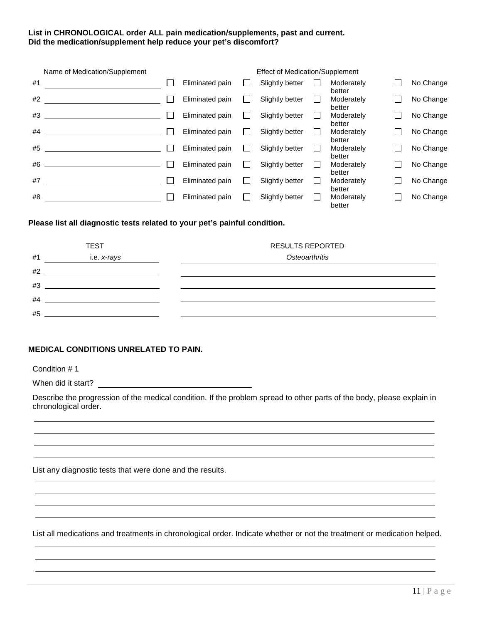## **List in CHRONOLOGICAL order ALL pain medication/supplements, past and current. Did the medication/supplement help reduce your pet's discomfort?**

| Name of Medication/Supplement | <b>Effect of Medication/Supplement</b> |                 |  |                 |  |                      |  |           |  |  |
|-------------------------------|----------------------------------------|-----------------|--|-----------------|--|----------------------|--|-----------|--|--|
| #1                            |                                        | Eliminated pain |  | Slightly better |  | Moderately<br>better |  | No Change |  |  |
| #2                            | $\mathbf{I}$                           | Eliminated pain |  | Slightly better |  | Moderately<br>better |  | No Change |  |  |
| #3                            |                                        | Eliminated pain |  | Slightly better |  | Moderately<br>better |  | No Change |  |  |
| #4                            |                                        | Eliminated pain |  | Slightly better |  | Moderately<br>better |  | No Change |  |  |
| #5                            | $\mathbf{I}$                           | Eliminated pain |  | Slightly better |  | Moderately<br>better |  | No Change |  |  |
| #6                            | $\mathbf{1}$                           | Eliminated pain |  | Slightly better |  | Moderately<br>better |  | No Change |  |  |
| #7                            | $\mathbf{I}$                           | Eliminated pain |  | Slightly better |  | Moderately<br>better |  | No Change |  |  |
| #8                            | $\mathbf{I}$                           | Eliminated pain |  | Slightly better |  | Moderately<br>better |  | No Change |  |  |

### **Please list all diagnostic tests related to your pet's painful condition.**

|    | <b>TEST</b> | <b>RESULTS REPORTED</b> |
|----|-------------|-------------------------|
| #1 | i.e. x-rays | Osteoarthritis          |
| #2 |             |                         |
| #3 |             |                         |
| #4 |             |                         |
| #5 |             |                         |

### **MEDICAL CONDITIONS UNRELATED TO PAIN.**

Condition # 1

When did it start?

Describe the progression of the medical condition. If the problem spread to other parts of the body, please explain in chronological order.

List any diagnostic tests that were done and the results.

List all medications and treatments in chronological order. Indicate whether or not the treatment or medication helped.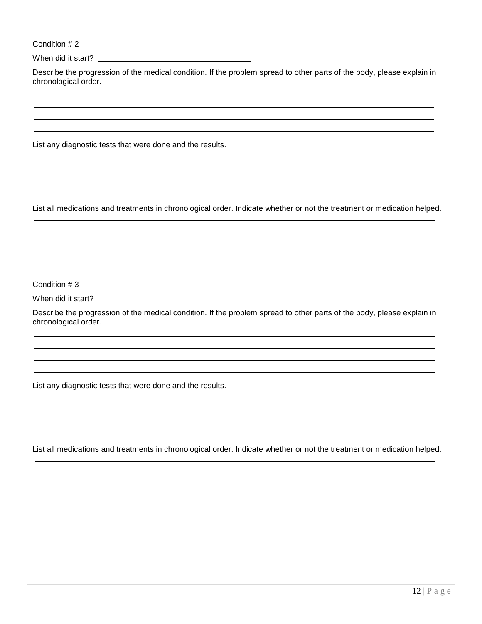Condition # 2

When did it start?

Describe the progression of the medical condition. If the problem spread to other parts of the body, please explain in chronological order.

List any diagnostic tests that were done and the results.

List all medications and treatments in chronological order. Indicate whether or not the treatment or medication helped.

Condition # 3

When did it start?

Describe the progression of the medical condition. If the problem spread to other parts of the body, please explain in chronological order.

List any diagnostic tests that were done and the results.

List all medications and treatments in chronological order. Indicate whether or not the treatment or medication helped.